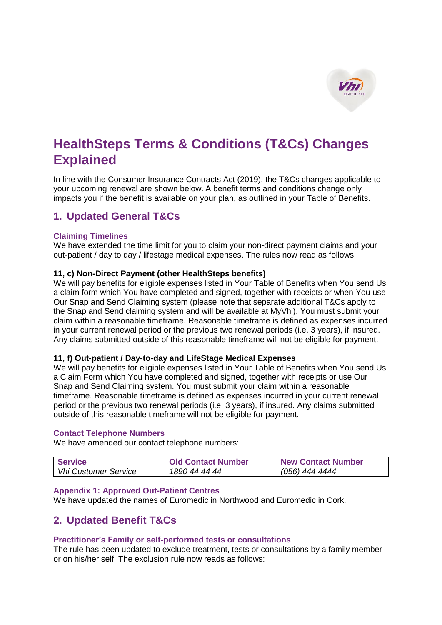

# **HealthSteps Terms & Conditions (T&Cs) Changes Explained**

In line with the Consumer Insurance Contracts Act (2019), the T&Cs changes applicable to your upcoming renewal are shown below. A benefit terms and conditions change only impacts you if the benefit is available on your plan, as outlined in your Table of Benefits.

# **1. Updated General T&Cs**

## **Claiming Timelines**

We have extended the time limit for you to claim your non-direct payment claims and your out-patient / day to day / lifestage medical expenses. The rules now read as follows:

## **11, c) Non-Direct Payment (other HealthSteps benefits)**

We will pay benefits for eligible expenses listed in Your Table of Benefits when You send Us a claim form which You have completed and signed, together with receipts or when You use Our Snap and Send Claiming system (please note that separate additional T&Cs apply to the Snap and Send claiming system and will be available at MyVhi). You must submit your claim within a reasonable timeframe. Reasonable timeframe is defined as expenses incurred in your current renewal period or the previous two renewal periods (i.e. 3 years), if insured. Any claims submitted outside of this reasonable timeframe will not be eligible for payment.

#### **11, f) Out-patient / Day-to-day and LifeStage Medical Expenses**

We will pay benefits for eligible expenses listed in Your Table of Benefits when You send Us a Claim Form which You have completed and signed, together with receipts or use Our Snap and Send Claiming system. You must submit your claim within a reasonable timeframe. Reasonable timeframe is defined as expenses incurred in your current renewal period or the previous two renewal periods (i.e. 3 years), if insured. Any claims submitted outside of this reasonable timeframe will not be eligible for payment.

#### **Contact Telephone Numbers**

We have amended our contact telephone numbers:

| <b>Service</b>              | <b>Old Contact Number</b> | <b>New Contact Number</b> |
|-----------------------------|---------------------------|---------------------------|
| <b>Vhi Customer Service</b> | 1890 44 44 44             | (056) 444 4444            |

#### **Appendix 1: Approved Out-Patient Centres**

We have updated the names of Euromedic in Northwood and Euromedic in Cork.

# **2. Updated Benefit T&Cs**

#### **Practitioner's Family or self-performed tests or consultations**

The rule has been updated to exclude treatment, tests or consultations by a family member or on his/her self. The exclusion rule now reads as follows: